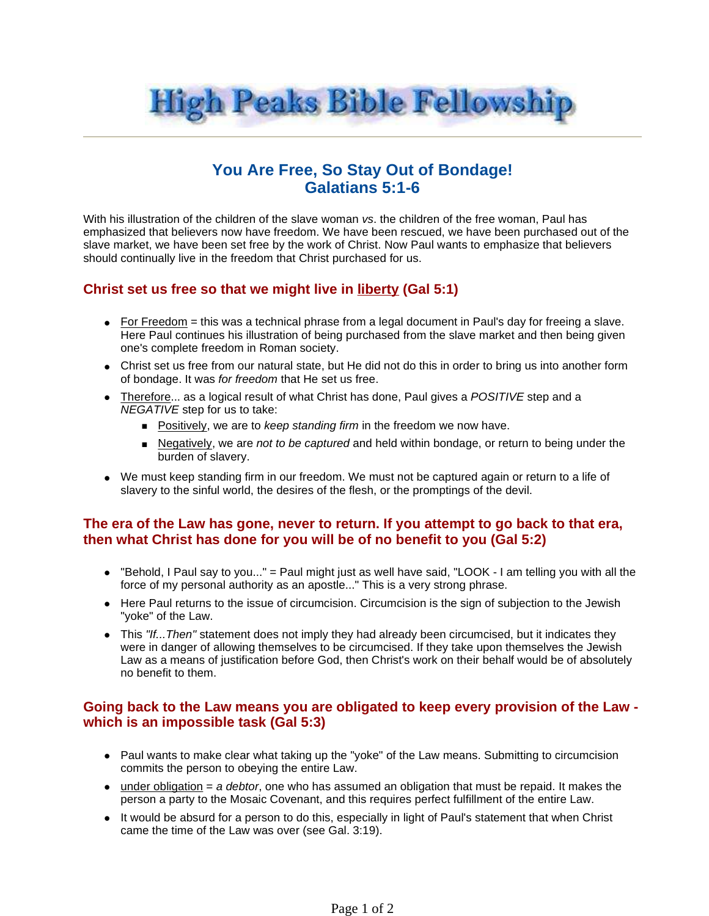

# **You Are Free, So Stay Out of Bondage! Galatians 5:1-6**

With his illustration of the children of the slave woman vs. the children of the free woman. Paul has emphasized that believers now have freedom. We have been rescued, we have been purchased out of the slave market, we have been set free by the work of Christ. Now Paul wants to emphasize that believers should continually live in the freedom that Christ purchased for us.

# **Christ set us free so that we might live in liberty (Gal 5:1)**

- $\bullet$  For Freedom = this was a technical phrase from a legal document in Paul's day for freeing a slave. Here Paul continues his illustration of being purchased from the slave market and then being given one's complete freedom in Roman society.
- Christ set us free from our natural state, but He did not do this in order to bring us into another form of bondage. It was for freedom that He set us free.
- Therefore... as a logical result of what Christ has done, Paul gives a POSITIVE step and a NEGATIVE step for us to take:
	- **Positively, we are to keep standing firm in the freedom we now have.**
	- **Negatively, we are not to be captured and held within bondage, or return to being under the** burden of slavery.
- We must keep standing firm in our freedom. We must not be captured again or return to a life of slavery to the sinful world, the desires of the flesh, or the promptings of the devil.

# **The era of the Law has gone, never to return. If you attempt to go back to that era, then what Christ has done for you will be of no benefit to you (Gal 5:2)**

- "Behold, I Paul say to you..." = Paul might just as well have said, "LOOK I am telling you with all the force of my personal authority as an apostle..." This is a very strong phrase.
- Here Paul returns to the issue of circumcision. Circumcision is the sign of subjection to the Jewish "yoke" of the Law.
- $\bullet$  This "If... Then" statement does not imply they had already been circumcised, but it indicates they were in danger of allowing themselves to be circumcised. If they take upon themselves the Jewish Law as a means of justification before God, then Christ's work on their behalf would be of absolutely no benefit to them.

#### **Going back to the Law means you are obligated to keep every provision of the Law which is an impossible task (Gal 5:3)**

- Paul wants to make clear what taking up the "yoke" of the Law means. Submitting to circumcision commits the person to obeying the entire Law.
- $\bullet$  under obligation = a debtor, one who has assumed an obligation that must be repaid. It makes the person a party to the Mosaic Covenant, and this requires perfect fulfillment of the entire Law.
- It would be absurd for a person to do this, especially in light of Paul's statement that when Christ came the time of the Law was over (see Gal. 3:19).